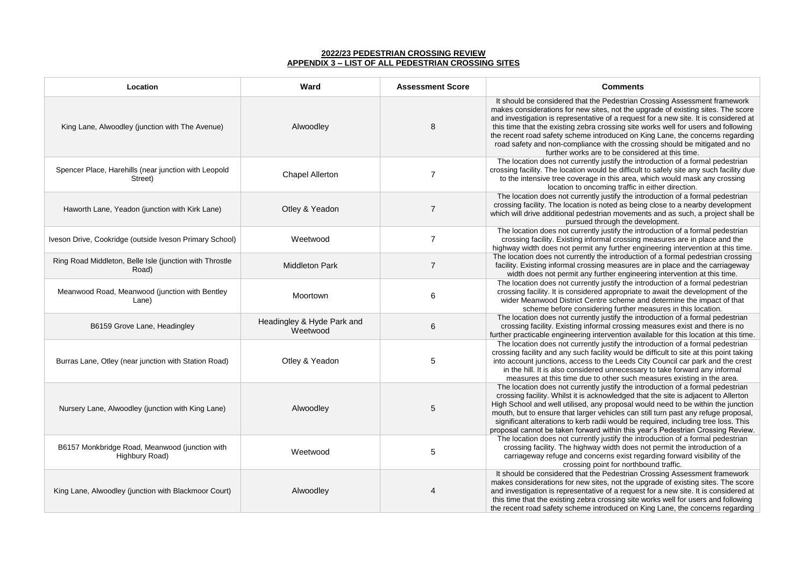## **2022/23 PEDESTRIAN CROSSING REVIEW APPENDIX 3 – LIST OF ALL PEDESTRIAN CROSSING SITES**

| Location                                                         | <b>Ward</b>                            | <b>Assessment Score</b> | <b>Comments</b>                                                                                                                                                                                                                                                                                                                                   |
|------------------------------------------------------------------|----------------------------------------|-------------------------|---------------------------------------------------------------------------------------------------------------------------------------------------------------------------------------------------------------------------------------------------------------------------------------------------------------------------------------------------|
| King Lane, Alwoodley (junction with The Avenue)                  | Alwoodley                              | 8                       | It should be considered that the Pedestrian C<br>makes considerations for new sites, not the up<br>and investigation is representative of a reques<br>this time that the existing zebra crossing site v<br>the recent road safety scheme introduced on <b>h</b><br>road safety and non-compliance with the cros<br>further works are to be consid |
| Spencer Place, Harehills (near junction with Leopold<br>Street)  | <b>Chapel Allerton</b>                 | 7                       | The location does not currently justify the int<br>crossing facility. The location would be difficult<br>to the intensive tree coverage in this area, v<br>location to oncoming traffic in                                                                                                                                                        |
| Haworth Lane, Yeadon (junction with Kirk Lane)                   | Otley & Yeadon                         | $\overline{7}$          | The location does not currently justify the int<br>crossing facility. The location is noted as bein<br>which will drive additional pedestrian movemer<br>pursued through the de                                                                                                                                                                   |
| Iveson Drive, Cookridge (outside Iveson Primary School)          | Weetwood                               | 7                       | The location does not currently justify the int<br>crossing facility. Existing informal crossing<br>highway width does not permit any further eng                                                                                                                                                                                                 |
| Ring Road Middleton, Belle Isle (junction with Throstle<br>Road) | <b>Middleton Park</b>                  | $\overline{7}$          | The location does not currently the introductio<br>facility. Existing informal crossing measures a<br>width does not permit any further enginee                                                                                                                                                                                                   |
| Meanwood Road, Meanwood (junction with Bentley<br>Lane)          | Moortown                               | 6                       | The location does not currently justify the int<br>crossing facility. It is considered appropriate<br>wider Meanwood District Centre scheme ar<br>scheme before considering further m                                                                                                                                                             |
| B6159 Grove Lane, Headingley                                     | Headingley & Hyde Park and<br>Weetwood | 6                       | The location does not currently justify the int<br>crossing facility. Existing informal crossing<br>further practicable engineering intervention ava                                                                                                                                                                                              |
| Burras Lane, Otley (near junction with Station Road)             | Otley & Yeadon                         | 5                       | The location does not currently justify the int<br>crossing facility and any such facility would be<br>into account junctions, access to the Leeds C<br>in the hill. It is also considered unnecessar<br>measures at this time due to other such m                                                                                                |
| Nursery Lane, Alwoodley (junction with King Lane)                | Alwoodley                              | 5                       | The location does not currently justify the int<br>crossing facility. Whilst it is acknowledged th<br>High School and well utilised, any proposal wo<br>mouth, but to ensure that larger vehicles can s<br>significant alterations to kerb radii would be re<br>proposal cannot be taken forward within this ye                                   |
| B6157 Monkbridge Road, Meanwood (junction with<br>Highbury Road) | Weetwood                               | 5                       | The location does not currently justify the int<br>crossing facility. The highway width does r<br>carriageway refuge and concerns exist reg<br>crossing point for northb                                                                                                                                                                          |
| King Lane, Alwoodley (junction with Blackmoor Court)             | Alwoodley                              |                         | It should be considered that the Pedestrian C<br>makes considerations for new sites, not the up<br>and investigation is representative of a reques<br>this time that the existing zebra crossing site \<br>the recent road safety scheme introduced on <b>h</b>                                                                                   |

It should be considered that the edestrian Crossing Assessment framework not the upgrade of existing sites. The score f a request for a new site. It is considered at this time stime works well for users and following tuced on King Lane, the concerns regarding ith the crossing should be mitigated and no be considered at this time.

tify the introduction of a formal pedestrian be difficult to safely site any such facility due his area, which would mask any crossing ng traffic in either direction.

tify the introduction of a formal pedestrian ed as being close to a nearby development movements and as such, a project shall be apurathe development.

tify the introduction of a formal pedestrian crossing measures are in place and the further engineering intervention at this time. introduction of a formal pedestrian crossing neasures are in place and the carriageway er engineering intervention at this time. tify the introduction of a formal pedestrian

ppropriate to await the development of the scheme and determine the impact of that g further measures in this location.

tify the introduction of a formal pedestrian crossing measures exist and there is no ention available for this location at this time. tify the introduction of a formal pedestrian would be difficult to site at this point taking ie Leeds City Council car park and the crest nnecessary to take forward any informal ner such measures existing in the area. tify the introduction of a formal pedestrian vledged that the site is adjacent to Allerton roposal would need to be within the junction icles can still turn past any refuge proposal, would be required, including tree loss. This thin this year's Pedestrian Crossing Review. tify the introduction of a formal pedestrian idth does not permit the introduction of a as exist regarding forward visibility of the for northbound traffic.

**It should be considered that the Sedestrian Crossing Assessment framework** not the upgrade of existing sites. The score f a request for a new site. It is considered at ssing site works well for users and following tuced on King Lane, the concerns regarding